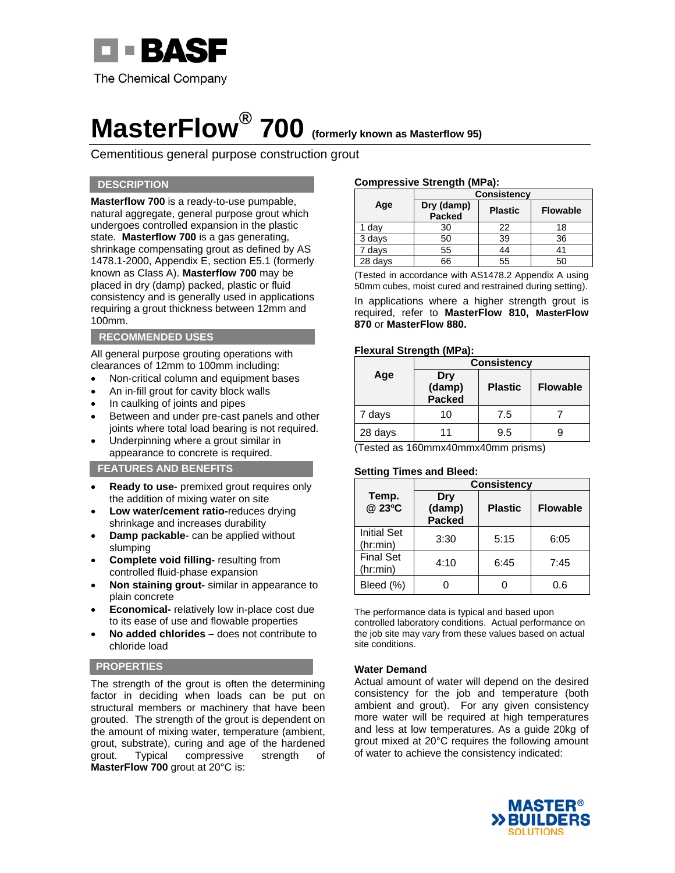

## **MasterFlow® 700 (formerly known as Masterflow 95)**

Cementitious general purpose construction grout

#### **DESCRIPTION**

**Masterflow 700** is a ready-to-use pumpable, natural aggregate, general purpose grout which undergoes controlled expansion in the plastic state. **Masterflow 700** is a gas generating, shrinkage compensating grout as defined by AS 1478.1-2000, Appendix E, section E5.1 (formerly known as Class A). **Masterflow 700** may be placed in dry (damp) packed, plastic or fluid consistency and is generally used in applications requiring a grout thickness between 12mm and 100mm.

#### **RECOMMENDED USES**

All general purpose grouting operations with clearances of 12mm to 100mm including:

- Non-critical column and equipment bases
- An in-fill grout for cavity block walls
- In caulking of joints and pipes
- Between and under pre-cast panels and other joints where total load bearing is not required.
- Underpinning where a grout similar in appearance to concrete is required.

#### **FEATURES AND BENEFITS**

- **Ready to use** premixed grout requires only the addition of mixing water on site
- **Low water/cement ratio-**reduces drying shrinkage and increases durability
- **Damp packable** can be applied without slumping
- **Complete void filling-** resulting from controlled fluid-phase expansion
- **Non staining grout-** similar in appearance to plain concrete
- **Economical-** relatively low in-place cost due to its ease of use and flowable properties
- **No added chlorides** does not contribute to chloride load

#### **PROPERTIES**

The strength of the grout is often the determining factor in deciding when loads can be put on structural members or machinery that have been grouted. The strength of the grout is dependent on the amount of mixing water, temperature (ambient, grout, substrate), curing and age of the hardened grout. Typical compressive strength of **MasterFlow 700** grout at 20°C is:

#### **Compressive Strength (MPa):**

|         | <b>Consistency</b>   |                |                 |
|---------|----------------------|----------------|-----------------|
| Age     | Dry (damp)<br>Packed | <b>Plastic</b> | <b>Flowable</b> |
| 1 day   | 30                   | 22             | 18              |
| 3 days  | 50                   | 39             | 36              |
| 7 days  | 55                   | 44             |                 |
| 28 days | 66                   | 55             | 50              |

(Tested in accordance with AS1478.2 Appendix A using 50mm cubes, moist cured and restrained during setting).

In applications where a higher strength grout is required, refer to **MasterFlow 810, MasterFlow 870** or **MasterFlow 880.** 

#### **Flexural Strength (MPa):**

|         | <b>Consistency</b>             |                |                 |
|---------|--------------------------------|----------------|-----------------|
| Age     | Dry<br>(damp)<br><b>Packed</b> | <b>Plastic</b> | <b>Flowable</b> |
| 7 days  | 10                             | 7.5            |                 |
| 28 days |                                | 9.5            |                 |

(Tested as 160mmx40mmx40mm prisms)

#### **Setting Times and Bleed:**

|                                | <b>Consistency</b>             |                |                 |  |
|--------------------------------|--------------------------------|----------------|-----------------|--|
| Temp.<br>@ 23°C                | Dry<br>(damp)<br><b>Packed</b> | <b>Plastic</b> | <b>Flowable</b> |  |
| <b>Initial Set</b><br>(hr:min) | 3:30                           | 5:15           | 6:05            |  |
| <b>Final Set</b><br>(hr:min)   | 4:10                           | 6:45           | 7:45            |  |
| Bleed (%)                      |                                |                | 0.6             |  |

The performance data is typical and based upon controlled laboratory conditions. Actual performance on the job site may vary from these values based on actual site conditions.

#### **Water Demand**

Actual amount of water will depend on the desired consistency for the job and temperature (both ambient and grout). For any given consistency more water will be required at high temperatures and less at low temperatures. As a guide 20kg of grout mixed at 20°C requires the following amount of water to achieve the consistency indicated: